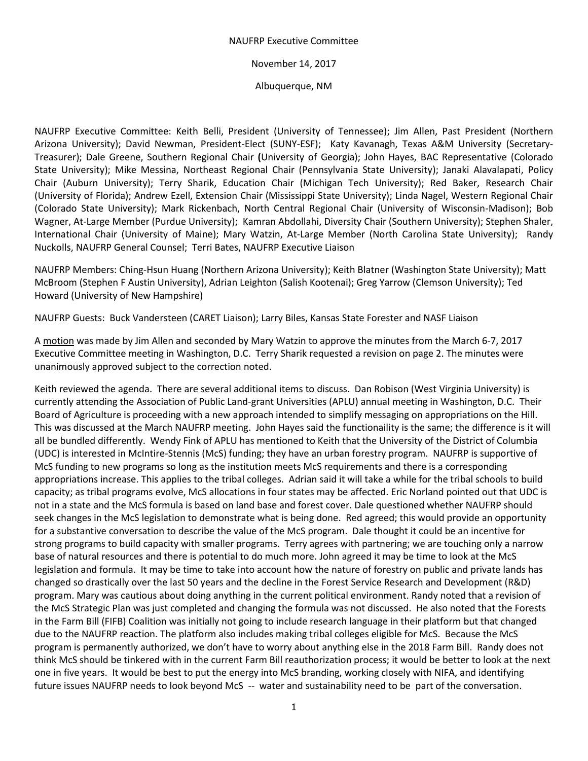## NAUFRP Executive Committee

November 14, 2017

Albuquerque, NM

NAUFRP Executive Committee: Keith Belli, President (University of Tennessee); Jim Allen, Past President (Northern Arizona University); David Newman, President-Elect (SUNY-ESF); Katy Kavanagh, Texas A&M University (Secretary-Treasurer); Dale Greene, Southern Regional Chair **(**University of Georgia); John Hayes, BAC Representative (Colorado State University); Mike Messina, Northeast Regional Chair (Pennsylvania State University); Janaki Alavalapati, Policy Chair (Auburn University); Terry Sharik, Education Chair (Michigan Tech University); Red Baker, Research Chair (University of Florida); Andrew Ezell, Extension Chair (Mississippi State University); Linda Nagel, Western Regional Chair (Colorado State University); Mark Rickenbach, North Central Regional Chair (University of Wisconsin-Madison); Bob Wagner, At-Large Member (Purdue University); Kamran Abdollahi, Diversity Chair (Southern University); Stephen Shaler, International Chair (University of Maine); Mary Watzin, At-Large Member (North Carolina State University); Randy Nuckolls, NAUFRP General Counsel; Terri Bates, NAUFRP Executive Liaison

NAUFRP Members: Ching-Hsun Huang (Northern Arizona University); Keith Blatner (Washington State University); Matt McBroom (Stephen F Austin University), Adrian Leighton (Salish Kootenai); Greg Yarrow (Clemson University); Ted Howard (University of New Hampshire)

NAUFRP Guests: Buck Vandersteen (CARET Liaison); Larry Biles, Kansas State Forester and NASF Liaison

A motion was made by Jim Allen and seconded by Mary Watzin to approve the minutes from the March 6-7, 2017 Executive Committee meeting in Washington, D.C. Terry Sharik requested a revision on page 2. The minutes were unanimously approved subject to the correction noted.

Keith reviewed the agenda. There are several additional items to discuss. Dan Robison (West Virginia University) is currently attending the Association of Public Land-grant Universities (APLU) annual meeting in Washington, D.C. Their Board of Agriculture is proceeding with a new approach intended to simplify messaging on appropriations on the Hill. This was discussed at the March NAUFRP meeting. John Hayes said the functionaility is the same; the difference is it will all be bundled differently. Wendy Fink of APLU has mentioned to Keith that the University of the District of Columbia (UDC) is interested in McIntire-Stennis (McS) funding; they have an urban forestry program. NAUFRP is supportive of McS funding to new programs so long as the institution meets McS requirements and there is a corresponding appropriations increase. This applies to the tribal colleges. Adrian said it will take a while for the tribal schools to build capacity; as tribal programs evolve, McS allocations in four states may be affected. Eric Norland pointed out that UDC is not in a state and the McS formula is based on land base and forest cover. Dale questioned whether NAUFRP should seek changes in the McS legislation to demonstrate what is being done. Red agreed; this would provide an opportunity for a substantive conversation to describe the value of the McS program. Dale thought it could be an incentive for strong programs to build capacity with smaller programs. Terry agrees with partnering; we are touching only a narrow base of natural resources and there is potential to do much more. John agreed it may be time to look at the McS legislation and formula. It may be time to take into account how the nature of forestry on public and private lands has changed so drastically over the last 50 years and the decline in the Forest Service Research and Development (R&D) program. Mary was cautious about doing anything in the current political environment. Randy noted that a revision of the McS Strategic Plan was just completed and changing the formula was not discussed. He also noted that the Forests in the Farm Bill (FIFB) Coalition was initially not going to include research language in their platform but that changed due to the NAUFRP reaction. The platform also includes making tribal colleges eligible for McS. Because the McS program is permanently authorized, we don't have to worry about anything else in the 2018 Farm Bill. Randy does not think McS should be tinkered with in the current Farm Bill reauthorization process; it would be better to look at the next one in five years. It would be best to put the energy into McS branding, working closely with NIFA, and identifying future issues NAUFRP needs to look beyond McS -- water and sustainability need to be part of the conversation.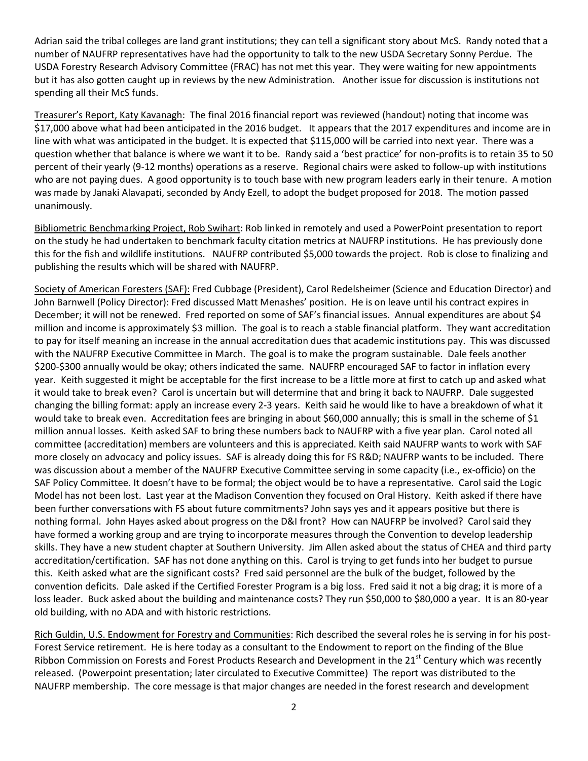Adrian said the tribal colleges are land grant institutions; they can tell a significant story about McS. Randy noted that a number of NAUFRP representatives have had the opportunity to talk to the new USDA Secretary Sonny Perdue. The USDA Forestry Research Advisory Committee (FRAC) has not met this year. They were waiting for new appointments but it has also gotten caught up in reviews by the new Administration. Another issue for discussion is institutions not spending all their McS funds.

Treasurer's Report, Katy Kavanagh: The final 2016 financial report was reviewed (handout) noting that income was \$17,000 above what had been anticipated in the 2016 budget. It appears that the 2017 expenditures and income are in line with what was anticipated in the budget. It is expected that \$115,000 will be carried into next year. There was a question whether that balance is where we want it to be. Randy said a 'best practice' for non-profits is to retain 35 to 50 percent of their yearly (9-12 months) operations as a reserve. Regional chairs were asked to follow-up with institutions who are not paying dues. A good opportunity is to touch base with new program leaders early in their tenure. A motion was made by Janaki Alavapati, seconded by Andy Ezell, to adopt the budget proposed for 2018. The motion passed unanimously.

Bibliometric Benchmarking Project, Rob Swihart: Rob linked in remotely and used a PowerPoint presentation to report on the study he had undertaken to benchmark faculty citation metrics at NAUFRP institutions. He has previously done this for the fish and wildlife institutions. NAUFRP contributed \$5,000 towards the project. Rob is close to finalizing and publishing the results which will be shared with NAUFRP.

Society of American Foresters (SAF): Fred Cubbage (President), Carol Redelsheimer (Science and Education Director) and John Barnwell (Policy Director): Fred discussed Matt Menashes' position. He is on leave until his contract expires in December; it will not be renewed. Fred reported on some of SAF's financial issues. Annual expenditures are about \$4 million and income is approximately \$3 million. The goal is to reach a stable financial platform. They want accreditation to pay for itself meaning an increase in the annual accreditation dues that academic institutions pay. This was discussed with the NAUFRP Executive Committee in March. The goal is to make the program sustainable. Dale feels another \$200-\$300 annually would be okay; others indicated the same. NAUFRP encouraged SAF to factor in inflation every year. Keith suggested it might be acceptable for the first increase to be a little more at first to catch up and asked what it would take to break even? Carol is uncertain but will determine that and bring it back to NAUFRP. Dale suggested changing the billing format: apply an increase every 2-3 years. Keith said he would like to have a breakdown of what it would take to break even. Accreditation fees are bringing in about \$60,000 annually; this is small in the scheme of \$1 million annual losses. Keith asked SAF to bring these numbers back to NAUFRP with a five year plan. Carol noted all committee (accreditation) members are volunteers and this is appreciated. Keith said NAUFRP wants to work with SAF more closely on advocacy and policy issues. SAF is already doing this for FS R&D; NAUFRP wants to be included. There was discussion about a member of the NAUFRP Executive Committee serving in some capacity (i.e., ex-officio) on the SAF Policy Committee. It doesn't have to be formal; the object would be to have a representative. Carol said the Logic Model has not been lost. Last year at the Madison Convention they focused on Oral History. Keith asked if there have been further conversations with FS about future commitments? John says yes and it appears positive but there is nothing formal. John Hayes asked about progress on the D&I front? How can NAUFRP be involved? Carol said they have formed a working group and are trying to incorporate measures through the Convention to develop leadership skills. They have a new student chapter at Southern University. Jim Allen asked about the status of CHEA and third party accreditation/certification. SAF has not done anything on this. Carol is trying to get funds into her budget to pursue this. Keith asked what are the significant costs? Fred said personnel are the bulk of the budget, followed by the convention deficits. Dale asked if the Certified Forester Program is a big loss. Fred said it not a big drag; it is more of a loss leader. Buck asked about the building and maintenance costs? They run \$50,000 to \$80,000 a year. It is an 80-year old building, with no ADA and with historic restrictions.

Rich Guldin, U.S. Endowment for Forestry and Communities: Rich described the several roles he is serving in for his post-Forest Service retirement. He is here today as a consultant to the Endowment to report on the finding of the Blue Ribbon Commission on Forests and Forest Products Research and Development in the 21<sup>st</sup> Century which was recently released. (Powerpoint presentation; later circulated to Executive Committee) The report was distributed to the NAUFRP membership. The core message is that major changes are needed in the forest research and development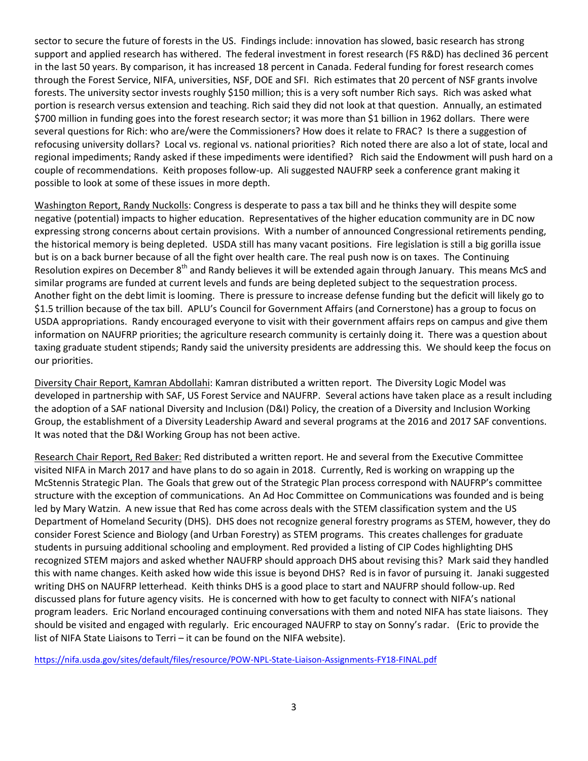sector to secure the future of forests in the US. Findings include: innovation has slowed, basic research has strong support and applied research has withered. The federal investment in forest research (FS R&D) has declined 36 percent in the last 50 years. By comparison, it has increased 18 percent in Canada. Federal funding for forest research comes through the Forest Service, NIFA, universities, NSF, DOE and SFI. Rich estimates that 20 percent of NSF grants involve forests. The university sector invests roughly \$150 million; this is a very soft number Rich says. Rich was asked what portion is research versus extension and teaching. Rich said they did not look at that question. Annually, an estimated \$700 million in funding goes into the forest research sector; it was more than \$1 billion in 1962 dollars. There were several questions for Rich: who are/were the Commissioners? How does it relate to FRAC? Is there a suggestion of refocusing university dollars? Local vs. regional vs. national priorities? Rich noted there are also a lot of state, local and regional impediments; Randy asked if these impediments were identified? Rich said the Endowment will push hard on a couple of recommendations. Keith proposes follow-up. Ali suggested NAUFRP seek a conference grant making it possible to look at some of these issues in more depth.

Washington Report, Randy Nuckolls: Congress is desperate to pass a tax bill and he thinks they will despite some negative (potential) impacts to higher education. Representatives of the higher education community are in DC now expressing strong concerns about certain provisions. With a number of announced Congressional retirements pending, the historical memory is being depleted. USDA still has many vacant positions. Fire legislation is still a big gorilla issue but is on a back burner because of all the fight over health care. The real push now is on taxes. The Continuing Resolution expires on December 8<sup>th</sup> and Randy believes it will be extended again through January. This means McS and similar programs are funded at current levels and funds are being depleted subject to the sequestration process. Another fight on the debt limit is looming. There is pressure to increase defense funding but the deficit will likely go to \$1.5 trillion because of the tax bill. APLU's Council for Government Affairs (and Cornerstone) has a group to focus on USDA appropriations. Randy encouraged everyone to visit with their government affairs reps on campus and give them information on NAUFRP priorities; the agriculture research community is certainly doing it. There was a question about taxing graduate student stipends; Randy said the university presidents are addressing this. We should keep the focus on our priorities.

Diversity Chair Report, Kamran Abdollahi: Kamran distributed a written report. The Diversity Logic Model was developed in partnership with SAF, US Forest Service and NAUFRP. Several actions have taken place as a result including the adoption of a SAF national Diversity and Inclusion (D&I) Policy, the creation of a Diversity and Inclusion Working Group, the establishment of a Diversity Leadership Award and several programs at the 2016 and 2017 SAF conventions. It was noted that the D&I Working Group has not been active.

Research Chair Report, Red Baker: Red distributed a written report. He and several from the Executive Committee visited NIFA in March 2017 and have plans to do so again in 2018. Currently, Red is working on wrapping up the McStennis Strategic Plan. The Goals that grew out of the Strategic Plan process correspond with NAUFRP's committee structure with the exception of communications. An Ad Hoc Committee on Communications was founded and is being led by Mary Watzin. A new issue that Red has come across deals with the STEM classification system and the US Department of Homeland Security (DHS). DHS does not recognize general forestry programs as STEM, however, they do consider Forest Science and Biology (and Urban Forestry) as STEM programs. This creates challenges for graduate students in pursuing additional schooling and employment. Red provided a listing of CIP Codes highlighting DHS recognized STEM majors and asked whether NAUFRP should approach DHS about revising this? Mark said they handled this with name changes. Keith asked how wide this issue is beyond DHS? Red is in favor of pursuing it. Janaki suggested writing DHS on NAUFRP letterhead. Keith thinks DHS is a good place to start and NAUFRP should follow-up. Red discussed plans for future agency visits. He is concerned with how to get faculty to connect with NIFA's national program leaders. Eric Norland encouraged continuing conversations with them and noted NIFA has state liaisons. They should be visited and engaged with regularly. Eric encouraged NAUFRP to stay on Sonny's radar. (Eric to provide the list of NIFA State Liaisons to Terri – it can be found on the NIFA website).

<https://nifa.usda.gov/sites/default/files/resource/POW-NPL-State-Liaison-Assignments-FY18-FINAL.pdf>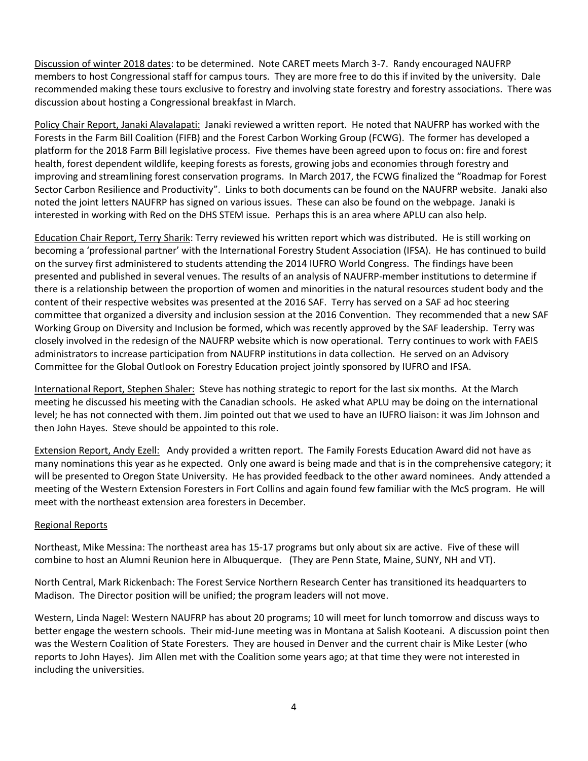Discussion of winter 2018 dates: to be determined. Note CARET meets March 3-7. Randy encouraged NAUFRP members to host Congressional staff for campus tours. They are more free to do this if invited by the university. Dale recommended making these tours exclusive to forestry and involving state forestry and forestry associations. There was discussion about hosting a Congressional breakfast in March.

Policy Chair Report, Janaki Alavalapati: Janaki reviewed a written report. He noted that NAUFRP has worked with the Forests in the Farm Bill Coalition (FIFB) and the Forest Carbon Working Group (FCWG). The former has developed a platform for the 2018 Farm Bill legislative process. Five themes have been agreed upon to focus on: fire and forest health, forest dependent wildlife, keeping forests as forests, growing jobs and economies through forestry and improving and streamlining forest conservation programs. In March 2017, the FCWG finalized the "Roadmap for Forest Sector Carbon Resilience and Productivity". Links to both documents can be found on the NAUFRP website. Janaki also noted the joint letters NAUFRP has signed on various issues. These can also be found on the webpage. Janaki is interested in working with Red on the DHS STEM issue. Perhaps this is an area where APLU can also help.

Education Chair Report, Terry Sharik: Terry reviewed his written report which was distributed. He is still working on becoming a 'professional partner' with the International Forestry Student Association (IFSA). He has continued to build on the survey first administered to students attending the 2014 IUFRO World Congress. The findings have been presented and published in several venues. The results of an analysis of NAUFRP-member institutions to determine if there is a relationship between the proportion of women and minorities in the natural resources student body and the content of their respective websites was presented at the 2016 SAF. Terry has served on a SAF ad hoc steering committee that organized a diversity and inclusion session at the 2016 Convention. They recommended that a new SAF Working Group on Diversity and Inclusion be formed, which was recently approved by the SAF leadership. Terry was closely involved in the redesign of the NAUFRP website which is now operational. Terry continues to work with FAEIS administrators to increase participation from NAUFRP institutions in data collection. He served on an Advisory Committee for the Global Outlook on Forestry Education project jointly sponsored by IUFRO and IFSA.

International Report, Stephen Shaler: Steve has nothing strategic to report for the last six months. At the March meeting he discussed his meeting with the Canadian schools. He asked what APLU may be doing on the international level; he has not connected with them. Jim pointed out that we used to have an IUFRO liaison: it was Jim Johnson and then John Hayes. Steve should be appointed to this role.

Extension Report, Andy Ezell: Andy provided a written report. The Family Forests Education Award did not have as many nominations this year as he expected. Only one award is being made and that is in the comprehensive category; it will be presented to Oregon State University. He has provided feedback to the other award nominees. Andy attended a meeting of the Western Extension Foresters in Fort Collins and again found few familiar with the McS program. He will meet with the northeast extension area foresters in December.

## Regional Reports

Northeast, Mike Messina: The northeast area has 15-17 programs but only about six are active. Five of these will combine to host an Alumni Reunion here in Albuquerque. (They are Penn State, Maine, SUNY, NH and VT).

North Central, Mark Rickenbach: The Forest Service Northern Research Center has transitioned its headquarters to Madison. The Director position will be unified; the program leaders will not move.

Western, Linda Nagel: Western NAUFRP has about 20 programs; 10 will meet for lunch tomorrow and discuss ways to better engage the western schools. Their mid-June meeting was in Montana at Salish Kooteani. A discussion point then was the Western Coalition of State Foresters. They are housed in Denver and the current chair is Mike Lester (who reports to John Hayes). Jim Allen met with the Coalition some years ago; at that time they were not interested in including the universities.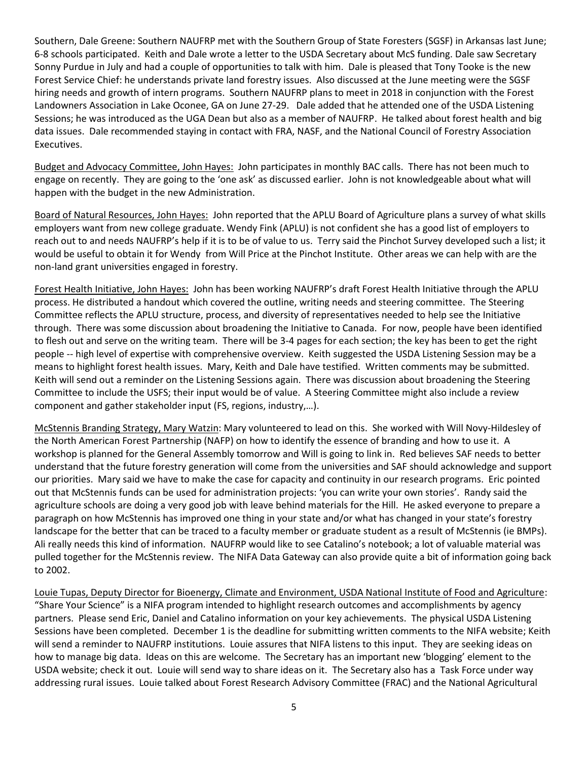Southern, Dale Greene: Southern NAUFRP met with the Southern Group of State Foresters (SGSF) in Arkansas last June; 6-8 schools participated. Keith and Dale wrote a letter to the USDA Secretary about McS funding. Dale saw Secretary Sonny Purdue in July and had a couple of opportunities to talk with him. Dale is pleased that Tony Tooke is the new Forest Service Chief: he understands private land forestry issues. Also discussed at the June meeting were the SGSF hiring needs and growth of intern programs. Southern NAUFRP plans to meet in 2018 in conjunction with the Forest Landowners Association in Lake Oconee, GA on June 27-29. Dale added that he attended one of the USDA Listening Sessions; he was introduced as the UGA Dean but also as a member of NAUFRP. He talked about forest health and big data issues. Dale recommended staying in contact with FRA, NASF, and the National Council of Forestry Association Executives.

Budget and Advocacy Committee, John Hayes: John participates in monthly BAC calls. There has not been much to engage on recently. They are going to the 'one ask' as discussed earlier. John is not knowledgeable about what will happen with the budget in the new Administration.

Board of Natural Resources, John Hayes: John reported that the APLU Board of Agriculture plans a survey of what skills employers want from new college graduate. Wendy Fink (APLU) is not confident she has a good list of employers to reach out to and needs NAUFRP's help if it is to be of value to us. Terry said the Pinchot Survey developed such a list; it would be useful to obtain it for Wendy from Will Price at the Pinchot Institute. Other areas we can help with are the non-land grant universities engaged in forestry.

Forest Health Initiative, John Hayes: John has been working NAUFRP's draft Forest Health Initiative through the APLU process. He distributed a handout which covered the outline, writing needs and steering committee. The Steering Committee reflects the APLU structure, process, and diversity of representatives needed to help see the Initiative through. There was some discussion about broadening the Initiative to Canada. For now, people have been identified to flesh out and serve on the writing team. There will be 3-4 pages for each section; the key has been to get the right people -- high level of expertise with comprehensive overview. Keith suggested the USDA Listening Session may be a means to highlight forest health issues. Mary, Keith and Dale have testified. Written comments may be submitted. Keith will send out a reminder on the Listening Sessions again. There was discussion about broadening the Steering Committee to include the USFS; their input would be of value. A Steering Committee might also include a review component and gather stakeholder input (FS, regions, industry,…).

McStennis Branding Strategy, Mary Watzin: Mary volunteered to lead on this. She worked with Will Novy-Hildesley of the North American Forest Partnership (NAFP) on how to identify the essence of branding and how to use it. A workshop is planned for the General Assembly tomorrow and Will is going to link in. Red believes SAF needs to better understand that the future forestry generation will come from the universities and SAF should acknowledge and support our priorities. Mary said we have to make the case for capacity and continuity in our research programs. Eric pointed out that McStennis funds can be used for administration projects: 'you can write your own stories'. Randy said the agriculture schools are doing a very good job with leave behind materials for the Hill. He asked everyone to prepare a paragraph on how McStennis has improved one thing in your state and/or what has changed in your state's forestry landscape for the better that can be traced to a faculty member or graduate student as a result of McStennis (ie BMPs). Ali really needs this kind of information. NAUFRP would like to see Catalino's notebook; a lot of valuable material was pulled together for the McStennis review. The NIFA Data Gateway can also provide quite a bit of information going back to 2002.

Louie Tupas, Deputy Director for Bioenergy, Climate and Environment, USDA National Institute of Food and Agriculture: "Share Your Science" is a NIFA program intended to highlight research outcomes and accomplishments by agency partners. Please send Eric, Daniel and Catalino information on your key achievements. The physical USDA Listening Sessions have been completed. December 1 is the deadline for submitting written comments to the NIFA website; Keith will send a reminder to NAUFRP institutions. Louie assures that NIFA listens to this input. They are seeking ideas on how to manage big data. Ideas on this are welcome. The Secretary has an important new 'blogging' element to the USDA website; check it out. Louie will send way to share ideas on it. The Secretary also has a Task Force under way addressing rural issues. Louie talked about Forest Research Advisory Committee (FRAC) and the National Agricultural